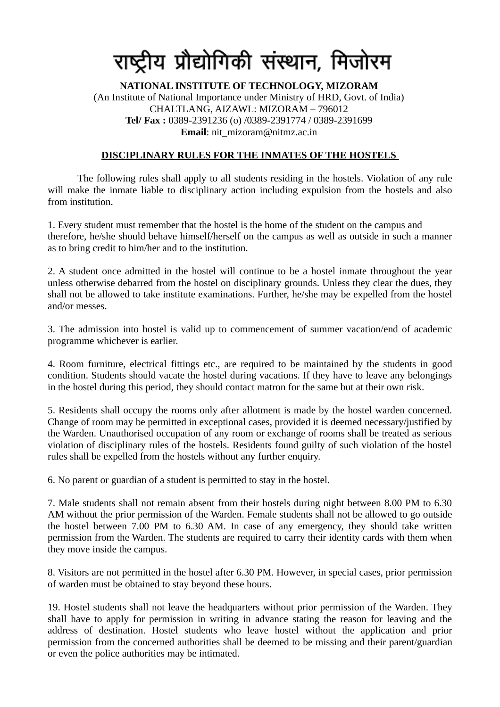## राष्ट्रीय प्रौद्योगिकी संस्थान, मिजोरम

## **NATIONAL INSTITUTE OF TECHNOLOGY, MIZORAM**  (An Institute of National Importance under Ministry of HRD, Govt. of India) CHALTLANG, AIZAWL: MIZORAM – 796012 **Tel/ Fax :** 0389-2391236 (o) /0389-2391774 / 0389-2391699 **Email**: nit\_mizoram@nitmz.ac.in

## **DISCIPLINARY RULES FOR THE INMATES OF THE HOSTELS**

The following rules shall apply to all students residing in the hostels. Violation of any rule will make the inmate liable to disciplinary action including expulsion from the hostels and also from institution.

1. Every student must remember that the hostel is the home of the student on the campus and therefore, he/she should behave himself/herself on the campus as well as outside in such a manner as to bring credit to him/her and to the institution.

2. A student once admitted in the hostel will continue to be a hostel inmate throughout the year unless otherwise debarred from the hostel on disciplinary grounds. Unless they clear the dues, they shall not be allowed to take institute examinations. Further, he/she may be expelled from the hostel and/or messes.

3. The admission into hostel is valid up to commencement of summer vacation/end of academic programme whichever is earlier.

4. Room furniture, electrical fittings etc., are required to be maintained by the students in good condition. Students should vacate the hostel during vacations. If they have to leave any belongings in the hostel during this period, they should contact matron for the same but at their own risk.

5. Residents shall occupy the rooms only after allotment is made by the hostel warden concerned. Change of room may be permitted in exceptional cases, provided it is deemed necessary/justified by the Warden. Unauthorised occupation of any room or exchange of rooms shall be treated as serious violation of disciplinary rules of the hostels. Residents found guilty of such violation of the hostel rules shall be expelled from the hostels without any further enquiry.

6. No parent or guardian of a student is permitted to stay in the hostel.

7. Male students shall not remain absent from their hostels during night between 8.00 PM to 6.30 AM without the prior permission of the Warden. Female students shall not be allowed to go outside the hostel between 7.00 PM to 6.30 AM. In case of any emergency, they should take written permission from the Warden. The students are required to carry their identity cards with them when they move inside the campus.

8. Visitors are not permitted in the hostel after 6.30 PM. However, in special cases, prior permission of warden must be obtained to stay beyond these hours.

19. Hostel students shall not leave the headquarters without prior permission of the Warden. They shall have to apply for permission in writing in advance stating the reason for leaving and the address of destination. Hostel students who leave hostel without the application and prior permission from the concerned authorities shall be deemed to be missing and their parent/guardian or even the police authorities may be intimated.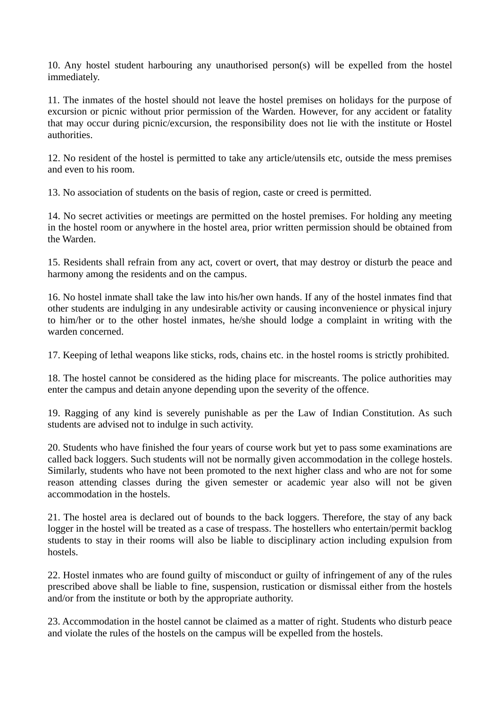10. Any hostel student harbouring any unauthorised person(s) will be expelled from the hostel immediately.

11. The inmates of the hostel should not leave the hostel premises on holidays for the purpose of excursion or picnic without prior permission of the Warden. However, for any accident or fatality that may occur during picnic/excursion, the responsibility does not lie with the institute or Hostel authorities.

12. No resident of the hostel is permitted to take any article/utensils etc, outside the mess premises and even to his room.

13. No association of students on the basis of region, caste or creed is permitted.

14. No secret activities or meetings are permitted on the hostel premises. For holding any meeting in the hostel room or anywhere in the hostel area, prior written permission should be obtained from the Warden.

15. Residents shall refrain from any act, covert or overt, that may destroy or disturb the peace and harmony among the residents and on the campus.

16. No hostel inmate shall take the law into his/her own hands. If any of the hostel inmates find that other students are indulging in any undesirable activity or causing inconvenience or physical injury to him/her or to the other hostel inmates, he/she should lodge a complaint in writing with the warden concerned.

17. Keeping of lethal weapons like sticks, rods, chains etc. in the hostel rooms is strictly prohibited.

18. The hostel cannot be considered as the hiding place for miscreants. The police authorities may enter the campus and detain anyone depending upon the severity of the offence.

19. Ragging of any kind is severely punishable as per the Law of Indian Constitution. As such students are advised not to indulge in such activity.

20. Students who have finished the four years of course work but yet to pass some examinations are called back loggers. Such students will not be normally given accommodation in the college hostels. Similarly, students who have not been promoted to the next higher class and who are not for some reason attending classes during the given semester or academic year also will not be given accommodation in the hostels.

21. The hostel area is declared out of bounds to the back loggers. Therefore, the stay of any back logger in the hostel will be treated as a case of trespass. The hostellers who entertain/permit backlog students to stay in their rooms will also be liable to disciplinary action including expulsion from hostels.

22. Hostel inmates who are found guilty of misconduct or guilty of infringement of any of the rules prescribed above shall be liable to fine, suspension, rustication or dismissal either from the hostels and/or from the institute or both by the appropriate authority.

23. Accommodation in the hostel cannot be claimed as a matter of right. Students who disturb peace and violate the rules of the hostels on the campus will be expelled from the hostels.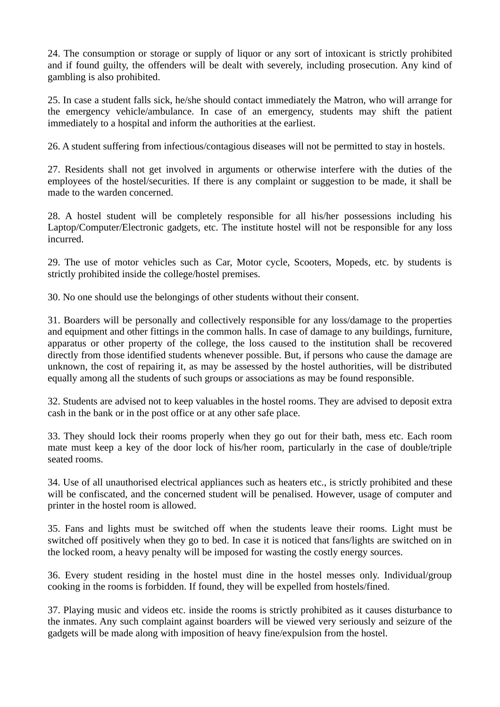24. The consumption or storage or supply of liquor or any sort of intoxicant is strictly prohibited and if found guilty, the offenders will be dealt with severely, including prosecution. Any kind of gambling is also prohibited.

25. In case a student falls sick, he/she should contact immediately the Matron, who will arrange for the emergency vehicle/ambulance. In case of an emergency, students may shift the patient immediately to a hospital and inform the authorities at the earliest.

26. A student suffering from infectious/contagious diseases will not be permitted to stay in hostels.

27. Residents shall not get involved in arguments or otherwise interfere with the duties of the employees of the hostel/securities. If there is any complaint or suggestion to be made, it shall be made to the warden concerned.

28. A hostel student will be completely responsible for all his/her possessions including his Laptop/Computer/Electronic gadgets, etc. The institute hostel will not be responsible for any loss incurred.

29. The use of motor vehicles such as Car, Motor cycle, Scooters, Mopeds, etc. by students is strictly prohibited inside the college/hostel premises.

30. No one should use the belongings of other students without their consent.

31. Boarders will be personally and collectively responsible for any loss/damage to the properties and equipment and other fittings in the common halls. In case of damage to any buildings, furniture, apparatus or other property of the college, the loss caused to the institution shall be recovered directly from those identified students whenever possible. But, if persons who cause the damage are unknown, the cost of repairing it, as may be assessed by the hostel authorities, will be distributed equally among all the students of such groups or associations as may be found responsible.

32. Students are advised not to keep valuables in the hostel rooms. They are advised to deposit extra cash in the bank or in the post office or at any other safe place.

33. They should lock their rooms properly when they go out for their bath, mess etc. Each room mate must keep a key of the door lock of his/her room, particularly in the case of double/triple seated rooms.

34. Use of all unauthorised electrical appliances such as heaters etc., is strictly prohibited and these will be confiscated, and the concerned student will be penalised. However, usage of computer and printer in the hostel room is allowed.

35. Fans and lights must be switched off when the students leave their rooms. Light must be switched off positively when they go to bed. In case it is noticed that fans/lights are switched on in the locked room, a heavy penalty will be imposed for wasting the costly energy sources.

36. Every student residing in the hostel must dine in the hostel messes only. Individual/group cooking in the rooms is forbidden. If found, they will be expelled from hostels/fined.

37. Playing music and videos etc. inside the rooms is strictly prohibited as it causes disturbance to the inmates. Any such complaint against boarders will be viewed very seriously and seizure of the gadgets will be made along with imposition of heavy fine/expulsion from the hostel.